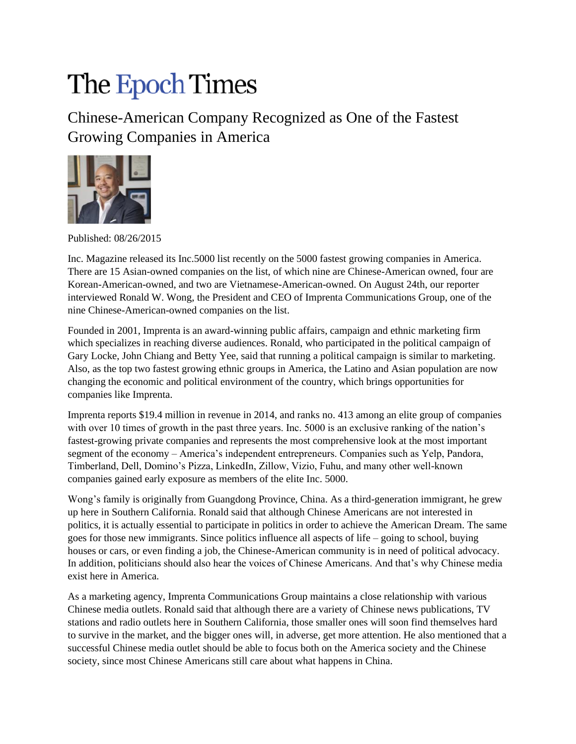## The Epoch Times

Chinese-American Company Recognized as One of the Fastest Growing Companies in America



Published: 08/26/2015

Inc. Magazine released its Inc.5000 list recently on the 5000 fastest growing companies in America. There are 15 Asian-owned companies on the list, of which nine are Chinese-American owned, four are Korean-American-owned, and two are Vietnamese-American-owned. On August 24th, our reporter interviewed Ronald W. Wong, the President and CEO of Imprenta Communications Group, one of the nine Chinese-American-owned companies on the list.

Founded in 2001, Imprenta is an award-winning public affairs, campaign and ethnic marketing firm which specializes in reaching diverse audiences. Ronald, who participated in the political campaign of Gary Locke, John Chiang and Betty Yee, said that running a political campaign is similar to marketing. Also, as the top two fastest growing ethnic groups in America, the Latino and Asian population are now changing the economic and political environment of the country, which brings opportunities for companies like Imprenta.

Imprenta reports \$19.4 million in revenue in 2014, and ranks no. 413 among an elite group of companies with over 10 times of growth in the past three years. Inc. 5000 is an exclusive ranking of the nation's fastest-growing private companies and represents the most comprehensive look at the most important segment of the economy – America's independent entrepreneurs. Companies such as Yelp, Pandora, Timberland, Dell, Domino's Pizza, LinkedIn, Zillow, Vizio, Fuhu, and many other well-known companies gained early exposure as members of the elite Inc. 5000.

Wong's family is originally from Guangdong Province, China. As a third-generation immigrant, he grew up here in Southern California. Ronald said that although Chinese Americans are not interested in politics, it is actually essential to participate in politics in order to achieve the American Dream. The same goes for those new immigrants. Since politics influence all aspects of life – going to school, buying houses or cars, or even finding a job, the Chinese-American community is in need of political advocacy. In addition, politicians should also hear the voices of Chinese Americans. And that's why Chinese media exist here in America.

As a marketing agency, Imprenta Communications Group maintains a close relationship with various Chinese media outlets. Ronald said that although there are a variety of Chinese news publications, TV stations and radio outlets here in Southern California, those smaller ones will soon find themselves hard to survive in the market, and the bigger ones will, in adverse, get more attention. He also mentioned that a successful Chinese media outlet should be able to focus both on the America society and the Chinese society, since most Chinese Americans still care about what happens in China.